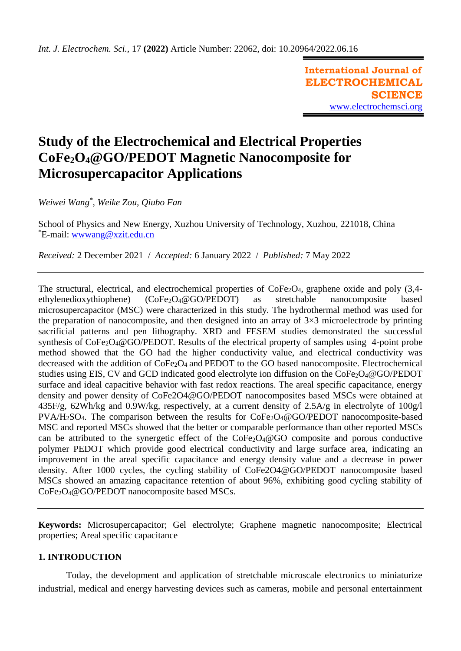**International Journal of ELECTROCHEMICAL SCIENCE** [www.electrochemsci.org](http://www.electrochemsci.org/)

# **Study of the Electrochemical and Electrical Properties CoFe2O4@GO/PEDOT Magnetic Nanocomposite for Microsupercapacitor Applications**

*Weiwei Wang\* , Weike Zou, Qiubo Fan*

School of Physics and New Energy, Xuzhou University of Technology, Xuzhou, 221018, China \*E-mail: [wwwang@xzit.edu.cn](mailto:wwwang@xzit.edu.cn)

*Received:* 2 December 2021/ *Accepted:* 6 January 2022 / *Published:* 7 May 2022

The structural, electrical, and electrochemical properties of CoFe<sub>2</sub>O<sub>4</sub>, graphene oxide and poly (3,4ethylenedioxythiophene) (CoFe2O4@GO/PEDOT) as stretchable nanocomposite based microsupercapacitor (MSC) were characterized in this study. The hydrothermal method was used for the preparation of nanocomposite, and then designed into an array of  $3\times3$  microelectrode by printing sacrificial patterns and pen lithography. XRD and FESEM studies demonstrated the successful synthesis of CoFe<sub>2</sub>O<sub>4</sub>@GO/PEDOT. Results of the electrical property of samples using 4-point probe method showed that the GO had the higher conductivity value, and electrical conductivity was decreased with the addition of CoFe<sub>2</sub>O<sub>4</sub> and PEDOT to the GO based nanocomposite. Electrochemical studies using EIS, CV and GCD indicated good electrolyte ion diffusion on the CoFe<sub>2</sub>O<sub>4</sub>@GO/PEDOT surface and ideal capacitive behavior with fast redox reactions. The areal specific capacitance, energy density and power density of CoFe2O4@GO/PEDOT nanocomposites based MSCs were obtained at 435F/g, 62Wh/kg and 0.9W/kg, respectively, at a current density of 2.5A/g in electrolyte of 100g/l PVA/H<sub>2</sub>SO<sub>4</sub>. The comparison between the results for CoFe<sub>2</sub>O<sub>4</sub>@GO/PEDOT nanocomposite-based MSC and reported MSCs showed that the better or comparable performance than other reported MSCs can be attributed to the synergetic effect of the  $\text{CoFe}_2\text{O}_4@GO$  composite and porous conductive polymer PEDOT which provide good electrical conductivity and large surface area, indicating an improvement in the areal specific capacitance and energy density value and a decrease in power density. After 1000 cycles, the cycling stability of CoFe2O4@GO/PEDOT nanocomposite based MSCs showed an amazing capacitance retention of about 96%, exhibiting good cycling stability of CoFe2O4@GO/PEDOT nanocomposite based MSCs.

**Keywords:** Microsupercapacitor; Gel electrolyte; Graphene magnetic nanocomposite; Electrical properties; Areal specific capacitance

## **1. INTRODUCTION**

Today, the development and application of stretchable microscale electronics to miniaturize industrial, medical and energy harvesting devices such as cameras, mobile and personal entertainment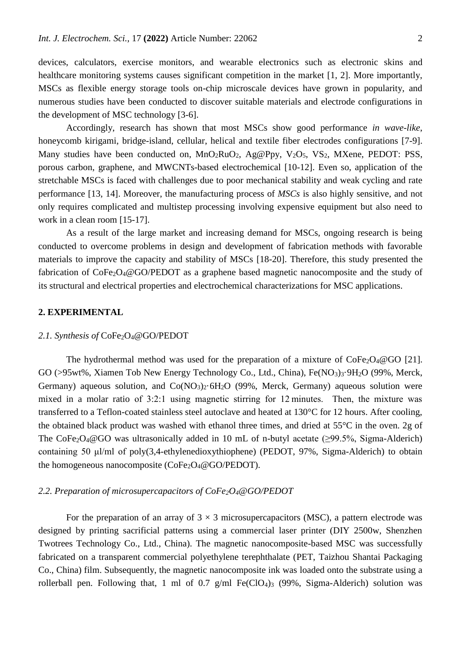devices, calculators, exercise monitors, and wearable electronics such as electronic skins and healthcare monitoring systems causes significant competition in the market [1, 2]. More importantly, MSCs as flexible energy storage tools on-chip microscale devices have grown in popularity, and numerous studies have been conducted to discover suitable materials and electrode configurations in the development of MSC technology [3-6].

Accordingly, research has shown that most MSCs show good performance *in wave*-*like*, honeycomb kirigami*,* bridge*-*island, cellular, helical and textile fiber electrodes configurations [7-9]. Many studies have been conducted on, MnO<sub>2</sub>RuO<sub>2</sub>, Ag@Ppy, V<sub>2</sub>O<sub>5</sub>, VS<sub>2</sub>, MXene, PEDOT: PSS, porous carbon, graphene, and MWCNTs-based electrochemical [10-12]. Even so, application of the stretchable MSCs is faced with challenges due to poor mechanical stability and weak cycling and rate performance [13, 14]. Moreover, the manufacturing process of *MSCs* is also highly sensitive, and not only requires complicated and multistep processing involving expensive equipment but also need to work in a clean room [15-17].

As a result of the large market and increasing demand for MSCs, ongoing research is being conducted to overcome problems in design and development of fabrication methods with favorable materials to improve the capacity and stability of MSCs [18-20]. Therefore, this study presented the fabrication of  $\text{CoFe}_2\text{O}_4$ @GO/PEDOT as a graphene based magnetic nanocomposite and the study of its structural and electrical properties and electrochemical characterizations for MSC applications.

#### **2. EXPERIMENTAL**

#### 2.1. Synthesis of CoFe<sub>2</sub>O<sub>4</sub>@GO/PEDOT

The hydrothermal method was used for the preparation of a mixture of  $\text{CoFe}_2\text{O}_4@GO$  [21]. GO (>95wt%, Xiamen Tob New Energy Technology Co., Ltd., China), Fe(NO3)3.9H<sub>2</sub>O (99%, Merck, Germany) aqueous solution, and  $Co(NO<sub>3</sub>)<sub>2</sub>·6H<sub>2</sub>O$  (99%, Merck, Germany) aqueous solution were mixed in a molar ratio of 3:2:1 using magnetic stirring for 12 minutes. Then, the mixture was transferred to a Teflon-coated stainless steel autoclave and heated at 130°C for 12 hours. After cooling, the obtained black product was washed with ethanol three times, and dried at 55°C in the oven. 2g of The CoFe<sub>2</sub>O<sub>4</sub>@GO was ultrasonically added in 10 mL of n-butyl acetate ( $\geq$ 99.5%, Sigma-Alderich) containing 50 μl/ml of poly(3,4-ethylenedioxythiophene) (PEDOT, 97%, Sigma-Alderich) to obtain the homogeneous nanocomposite ( $CoFe<sub>2</sub>O<sub>4</sub>@GO/PEDOT$ ).

### *2.2. Preparation of microsupercapacitors of CoFe2O4@GO/PEDOT*

For the preparation of an array of  $3 \times 3$  microsupercapacitors (MSC), a pattern electrode was designed by printing sacrificial patterns using a commercial laser printer (DIY 2500w, Shenzhen Twotrees Technology Co., Ltd., China). The magnetic nanocomposite-based MSC was successfully fabricated on a transparent commercial polyethylene terephthalate (PET, Taizhou Shantai Packaging Co., China) film. Subsequently, the magnetic nanocomposite ink was loaded onto the substrate using a rollerball pen. Following that, 1 ml of 0.7 g/ml Fe(ClO<sub>4</sub>)<sub>3</sub> (99%, Sigma-Alderich) solution was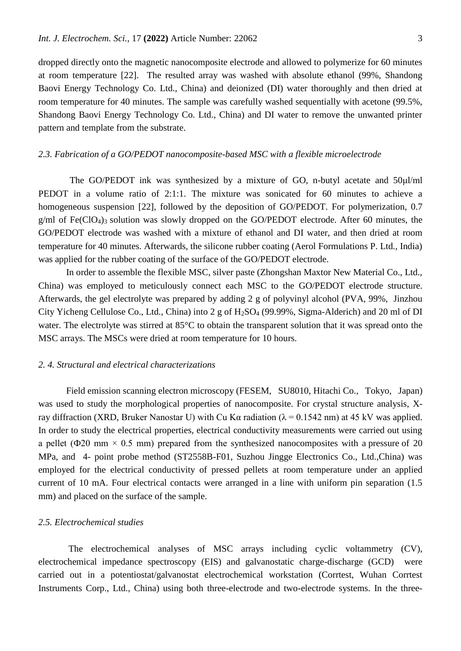dropped directly onto the magnetic nanocomposite electrode and allowed to polymerize for 60 minutes at room temperature [22]. The resulted array was washed with absolute ethanol (99%, Shandong Baovi Energy Technology Co. Ltd., China) and deionized (DI) water thoroughly and then dried at room temperature for 40 minutes. The sample was carefully washed sequentially with acetone (99.5%, Shandong Baovi Energy Technology Co. Ltd., China) and DI water to remove the unwanted printer pattern and template from the substrate.

#### *2.3. Fabrication of a GO/PEDOT nanocomposite-based MSC with a flexible microelectrode*

The GO/PEDOT ink was synthesized by a mixture of GO, n-butyl acetate and 50 $\mu$ l/ml PEDOT in a volume ratio of 2:1:1. The mixture was sonicated for 60 minutes to achieve a homogeneous suspension [22], followed by the deposition of GO/PEDOT. For polymerization, 0.7  $g/ml$  of Fe(ClO<sub>4</sub>)<sub>3</sub> solution was slowly dropped on the GO/PEDOT electrode. After 60 minutes, the GO/PEDOT electrode was washed with a mixture of ethanol and DI water, and then dried at room temperature for 40 minutes. Afterwards, the silicone rubber coating (Aerol Formulations P. Ltd., India) was applied for the rubber coating of the surface of the GO/PEDOT electrode.

In order to assemble the flexible MSC, silver paste (Zhongshan Maxtor New Material Co., Ltd., China) was employed to meticulously connect each MSC to the GO/PEDOT electrode structure. Afterwards, the gel electrolyte was prepared by adding 2 g of polyvinyl alcohol (PVA, 99%, Jinzhou City Yicheng Cellulose Co., Ltd., China) into 2 g of  $H_2SO_4$  (99.99%, Sigma-Alderich) and 20 ml of DI water. The electrolyte was stirred at 85°C to obtain the transparent solution that it was spread onto the MSC arrays. The MSCs were dried at room temperature for 10 hours.

#### *2. 4. Structural and electrical characterizations*

Field emission scanning electron microscopy (FESEM, SU8010, Hitachi Co., Tokyo, Japan) was used to study the morphological properties of nanocomposite. For crystal structure analysis, Xray diffraction (XRD, Bruker Nanostar U) with Cu Kα radiation ( $\lambda$  = 0.1542 nm) at 45 kV was applied. In order to study the electrical properties, electrical conductivity measurements were carried out using a pellet ( $\Phi$ 20 mm × 0.5 mm) prepared from the synthesized nanocomposites with a pressure of 20 MPa, and 4- point probe method (ST2558B-F01, Suzhou Jingge Electronics Co., Ltd.,China) was employed for the electrical conductivity of pressed pellets at room temperature under an applied current of 10 mA. Four electrical contacts were arranged in a line with uniform pin separation (1.5 mm) and placed on the surface of the sample.

#### *2.5. Electrochemical studies*

The electrochemical analyses of MSC arrays including cyclic voltammetry (CV), electrochemical impedance spectroscopy (EIS) and galvanostatic charge-discharge (GCD) were carried out in a potentiostat/galvanostat electrochemical workstation (Corrtest, Wuhan Corrtest Instruments Corp., Ltd., China) using both three-electrode and two-electrode systems. In the three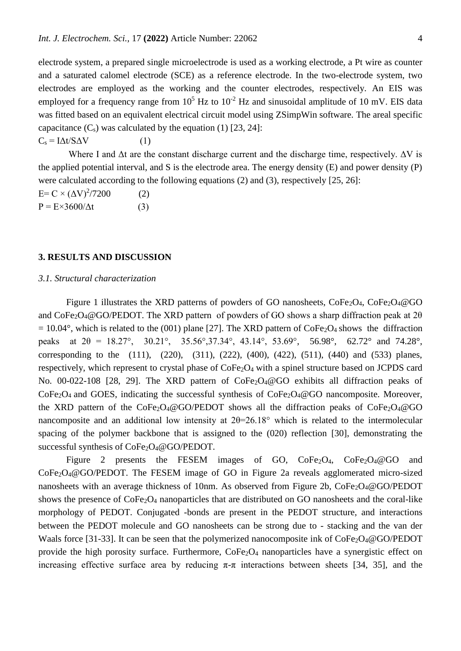electrode system, a prepared single microelectrode is used as a working electrode, a Pt wire as counter and a saturated calomel electrode (SCE) as a reference electrode. In the two-electrode system, two electrodes are employed as the working and the counter electrodes, respectively. An EIS was employed for a frequency range from  $10^5$  Hz to  $10^{-2}$  Hz and sinusoidal amplitude of 10 mV. EIS data was fitted based on an equivalent electrical circuit model using ZSimpWin software. The areal specific capacitance  $(C_s)$  was calculated by the equation (1) [23, 24]:

 $C_s = I\Delta t/S\Delta V$  (1)

Where I and  $\Delta t$  are the constant discharge current and the discharge time, respectively.  $\Delta V$  is the applied potential interval, and S is the electrode area. The energy density (E) and power density (P) were calculated according to the following equations (2) and (3), respectively [25, 26]:

 $E = C \times (\Delta V)^2 / 7200$  (2)  $P = E \times 3600/\Delta t$  (3)

#### **3. RESULTS AND DISCUSSION**

### *3.1. Structural characterization*

Figure 1 illustrates the XRD patterns of powders of GO nanosheets,  $\text{CoFe}_2\text{O}_4$ ,  $\text{CoFe}_2\text{O}_4$ @GO and CoFe<sub>2</sub>O<sub>4</sub>@GO/PEDOT. The XRD pattern of powders of GO shows a sharp diffraction peak at 2 $\theta$  $= 10.04^{\circ}$ , which is related to the (001) plane [27]. The XRD pattern of CoFe<sub>2</sub>O<sub>4</sub> shows the diffraction peaks at  $2\theta = 18.27^{\circ}$ ,  $30.21^{\circ}$ ,  $35.56^{\circ}$ ,  $37.34^{\circ}$ ,  $43.14^{\circ}$ ,  $53.69^{\circ}$ ,  $56.98^{\circ}$ ,  $62.72^{\circ}$  and  $74.28^{\circ}$ , corresponding to the (111), (220), (311), (222), (400), (422), (511), (440) and (533) planes, respectively, which represent to crystal phase of  $\text{CoFe}_2\text{O}_4$  with a spinel structure based on JCPDS card No. 00-022-108 [28, 29]. The XRD pattern of  $\text{CoFe}_2\text{O}_4@GO$  exhibits all diffraction peaks of  $CoFe<sub>2</sub>O<sub>4</sub>$  and GOES, indicating the successful synthesis of  $CoFe<sub>2</sub>O<sub>4</sub>@GO$  nancomposite. Moreover, the XRD pattern of the  $CoFe<sub>2</sub>O<sub>4</sub>@GO/PEDOT$  shows all the diffraction peaks of  $CoFe<sub>2</sub>O<sub>4</sub>@GO$ nancomposite and an additional low intensity at  $2\theta = 26.18^\circ$  which is related to the intermolecular spacing of the polymer backbone that is assigned to the (020) reflection [30], demonstrating the successful synthesis of CoFe<sub>2</sub>O<sub>4</sub>@GO/PEDOT.

Figure 2 presents the FESEM images of GO, CoFe<sub>2</sub>O<sub>4</sub>, CoFe<sub>2</sub>O<sub>4</sub>@GO and CoFe2O4@GO/PEDOT. The FESEM image of GO in Figure 2a reveals agglomerated micro-sized nanosheets with an average thickness of 10nm. As observed from Figure 2b, CoFe<sub>2</sub>O<sub>4</sub>@GO/PEDOT shows the presence of CoFe2O<sup>4</sup> nanoparticles that are distributed on GO nanosheets and the coral-like morphology of PEDOT. Conjugated -bonds are present in the PEDOT structure, and interactions between the PEDOT molecule and GO nanosheets can be strong due to - stacking and the van der Waals force [31-33]. It can be seen that the polymerized nanocomposite ink of CoFe<sub>2</sub>O<sub>4</sub>@GO/PEDOT provide the high porosity surface. Furthermore, CoFe<sub>2</sub>O<sub>4</sub> nanoparticles have a synergistic effect on increasing effective surface area by reducing  $\pi$ - $\pi$  interactions between sheets [34, 35], and the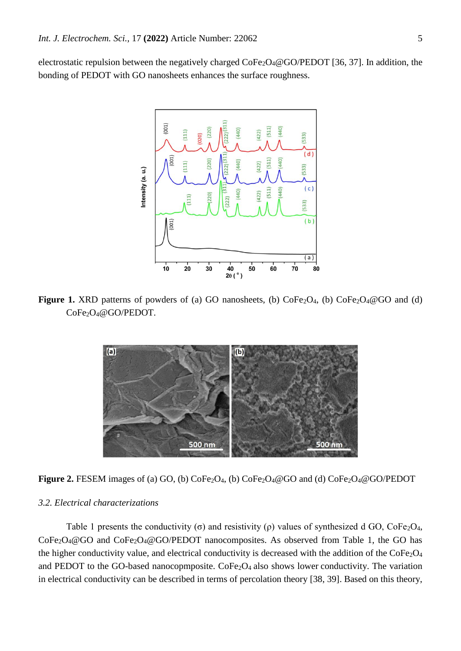electrostatic repulsion between the negatively charged CoFe<sub>2</sub>O<sub>4</sub>@GO/PEDOT [36, 37]. In addition, the bonding of PEDOT with GO nanosheets enhances the surface roughness.



**Figure 1.** XRD patterns of powders of (a) GO nanosheets, (b) CoFe<sub>2</sub>O<sub>4</sub>, (b) CoFe<sub>2</sub>O<sub>4</sub>@GO and (d) CoFe2O4@GO/PEDOT.



Figure 2. FESEM images of (a) GO, (b) CoFe<sub>2</sub>O<sub>4</sub>, (b) CoFe<sub>2</sub>O<sub>4</sub>@GO and (d) CoFe<sub>2</sub>O<sub>4</sub>@GO/PEDOT

## *3.2. Electrical characterizations*

Table 1 presents the conductivity (σ) and resistivity (ρ) values of synthesized d GO,  $CoFe<sub>2</sub>O<sub>4</sub>$ ,  $CoFe<sub>2</sub>O<sub>4</sub>@GO$  and  $CoFe<sub>2</sub>O<sub>4</sub>@GO/PEDOT$  nanocomposites. As observed from Table 1, the GO has the higher conductivity value, and electrical conductivity is decreased with the addition of the CoFe<sub>2</sub>O<sub>4</sub> and PEDOT to the GO-based nanocopmposite.  $\text{CoFe}_2\text{O}_4$  also shows lower conductivity. The variation in electrical conductivity can be described in terms of percolation theory [38, 39]. Based on this theory,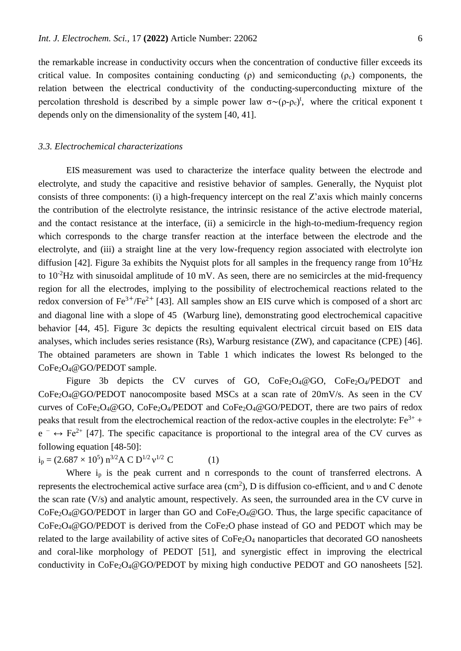the remarkable increase in conductivity occurs when the concentration of conductive filler exceeds its critical value. In composites containing conducting ( $\rho$ ) and semiconducting ( $\rho_c$ ) components, the relation between the electrical conductivity of the conducting-superconducting mixture of the percolation threshold is described by a simple power law  $\sigma \sim (\rho - \rho_c)^t$ , where the critical exponent t depends only on the dimensionality of the system [40, 41].

#### *3.3. Electrochemical characterizations*

EIS measurement was used to characterize the interface quality between the electrode and electrolyte, and study the capacitive and resistive behavior of samples. Generally, the Nyquist plot consists of three components: (i) a high-frequency intercept on the real Z'axis which mainly concerns the contribution of the electrolyte resistance, the intrinsic resistance of the active electrode material, and the contact resistance at the interface, (ii) a semicircle in the high-to-medium-frequency region which corresponds to the charge transfer reaction at the interface between the electrode and the electrolyte, and (iii) a straight line at the very low-frequency region associated with electrolyte ion diffusion [42]. Figure 3a exhibits the Nyquist plots for all samples in the frequency range from  $10<sup>5</sup>$ Hz to  $10^{-2}$ Hz with sinusoidal amplitude of 10 mV. As seen, there are no semicircles at the mid-frequency region for all the electrodes, implying to the possibility of electrochemical reactions related to the redox conversion of  $Fe^{3+}/Fe^{2+}$  [43]. All samples show an EIS curve which is composed of a short arc and diagonal line with a slope of 45 (Warburg line), demonstrating good electrochemical capacitive behavior [44, 45]. Figure 3c depicts the resulting equivalent electrical circuit based on EIS data analyses, which includes series resistance (Rs), Warburg resistance (ZW), and capacitance (CPE) [46]. The obtained parameters are shown in Table 1 which indicates the lowest Rs belonged to the CoFe2O4@GO/PEDOT sample.

Figure 3b depicts the CV curves of GO,  $CoFe<sub>2</sub>O<sub>4</sub>/@GO$ ,  $CoFe<sub>2</sub>O<sub>4</sub>/PEDOT$  and  $CoFe<sub>2</sub>O<sub>4</sub>@GO/PEDOT nanocomposite based MSCs at a scan rate of  $20mV/s$ . As seen in the CV$ curves of  $\text{CoFe}_2\text{O}_4$ @GO,  $\text{CoFe}_2\text{O}_4$ /PEDOT and  $\text{CoFe}_2\text{O}_4$ @GO/PEDOT, there are two pairs of redox peaks that result from the electrochemical reaction of the redox-active couples in the electrolyte:  $Fe^{3+}$  +  $e^- \leftrightarrow Fe^{2+}$  [47]. The specific capacitance is proportional to the integral area of the CV curves as following equation [48-50]:

 $i_p = (2.687 \times 10^5) \text{ n}^{3/2} \text{A C D}^{1/2} \text{ v}^{1/2} \text{ C}$  (1)

Where i<sub>p</sub> is the peak current and n corresponds to the count of transferred electrons. A represents the electrochemical active surface area  $(cm^2)$ , D is diffusion co-efficient, and v and C denote the scan rate (V/s) and analytic amount, respectively. As seen, the surrounded area in the CV curve in CoFe2O4@GO/PEDOT in larger than GO and CoFe2O4@GO. Thus, the large specific capacitance of CoFe<sub>2</sub>O<sub>4</sub>@GO/PEDOT is derived from the CoFe<sub>2</sub>O phase instead of GO and PEDOT which may be related to the large availability of active sites of CoFe<sub>2</sub>O<sub>4</sub> nanoparticles that decorated GO nanosheets and coral-like morphology of PEDOT [51], and synergistic effect in improving the electrical conductivity in CoFe<sub>2</sub>O<sub>4</sub>@GO/PEDOT by mixing high conductive PEDOT and GO nanosheets [52].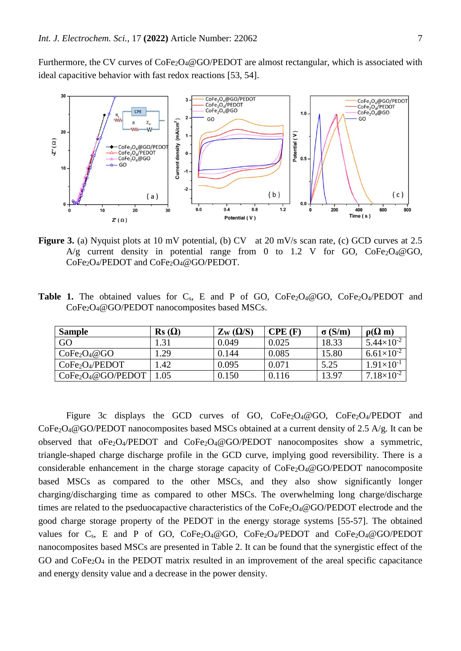Furthermore, the CV curves of CoFe<sub>2</sub>O<sub>4</sub>@GO/PEDOT are almost rectangular, which is associated with ideal capacitive behavior with fast redox reactions [53, 54].



**Figure 3.** (a) Nyquist plots at 10 mV potential, (b) CV at 20 mV/s scan rate, (c) GCD curves at 2.5 A/g current density in potential range from 0 to 1.2 V for GO,  $CoFe<sub>2</sub>O<sub>4</sub>@GO$ , CoFe2O4/PEDOT and CoFe2O4@GO/PEDOT.

**Table 1.** The obtained values for  $C_s$ , E and P of GO,  $CoFe<sub>2</sub>O<sub>4</sub>/O(6)$   $CoFe<sub>2</sub>O<sub>4</sub>/PEDOT$  and CoFe2O4@GO/PEDOT nanocomposites based MSCs.

| <b>Sample</b>                           | $\text{Rs }(\Omega)$ | $\rm Z_{\rm W}$ ( $\Omega/S$ ) | CPE(F) | $\sigma(S/m)$ | $\rho(\Omega m)$      |
|-----------------------------------------|----------------------|--------------------------------|--------|---------------|-----------------------|
| GO                                      | 1.31                 | 0.049                          | 0.025  | 18.33         | $5.44 \times 10^{-2}$ |
| CoFe <sub>2</sub> O <sub>4</sub> @GO    | . 29                 | 0.144                          | 0.085  | 15.80         | $6.61\times10^{-2}$   |
| CoFe <sub>2</sub> O <sub>4</sub> /PEDOT | l.42                 | 0.095                          | 0.071  | 5.25          | $1.91\times10^{-1}$   |
| $CoFe2O4@GO/PEDOT$                      | 1.05                 | 0.150                          | 0.116  | 13.97         | $7.18\times10^{-2}$   |

Figure 3c displays the GCD curves of GO,  $CoFe<sub>2</sub>O<sub>4</sub>/@GO$ ,  $CoFe<sub>2</sub>O<sub>4</sub>/PEDOT$  and  $CoFe<sub>2</sub>O<sub>4</sub>@GO/PEDOT nanocomposites based MSCs obtained at a current density of 2.5 A/g. It can be$ observed that  $oFe<sub>2</sub>O<sub>4</sub>/PEDOT$  and  $CoFe<sub>2</sub>O<sub>4</sub>@GO/PEDOT$  nanocomposites show a symmetric, triangle-shaped charge discharge profile in the GCD curve, implying good reversibility. There is a considerable enhancement in the charge storage capacity of  $CoFe<sub>2</sub>O<sub>4</sub>@GO/PEDOT$  nanocomposite based MSCs as compared to the other MSCs, and they also show significantly longer charging/discharging time as compared to other MSCs. The overwhelming long charge/discharge times are related to the pseduocapactive characteristics of the  $CoFe<sub>2</sub>O<sub>4</sub>@GO/PEDOT$  electrode and the good charge storage property of the PEDOT in the energy storage systems [55-57]. The obtained values for C<sub>s</sub>, E and P of GO, CoFe<sub>2</sub>O<sub>4</sub>@GO, CoFe<sub>2</sub>O<sub>4</sub>/PEDOT and CoFe<sub>2</sub>O<sub>4</sub>@GO/PEDOT nanocomposites based MSCs are presented in Table 2. It can be found that the synergistic effect of the GO and CoFe<sub>2</sub>O<sub>4</sub> in the PEDOT matrix resulted in an improvement of the areal specific capacitance and energy density value and a decrease in the power density.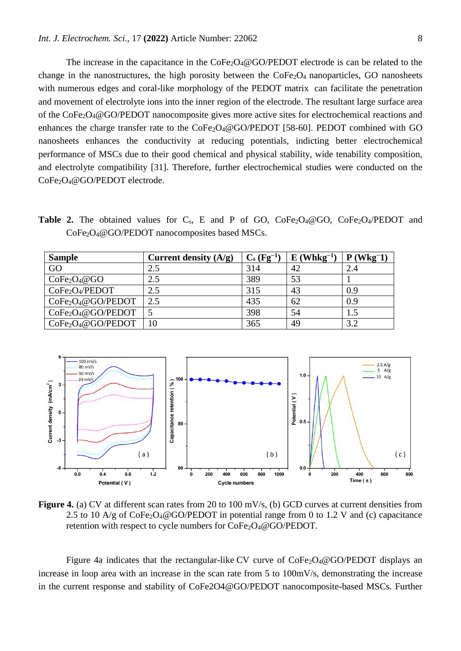The increase in the capacitance in the  $\text{CoFe}_2\text{O}_4@ \text{GO/PEDOT}$  electrode is can be related to the change in the nanostructures, the high porosity between the  $\text{CoFe}_2\text{O}_4$  nanoparticles, GO nanosheets with numerous edges and coral-like morphology of the PEDOT matrix can facilitate the penetration and movement of electrolyte ions into the inner region of the electrode. The resultant large surface area of the CoFe2O4@GO/PEDOT nanocomposite gives more active sites for electrochemical reactions and enhances the charge transfer rate to the  $CoFe<sub>2</sub>O<sub>4</sub>@GO/PEDOT$  [58-60]. PEDOT combined with GO nanosheets enhances the conductivity at reducing potentials, indicting better electrochemical performance of MSCs due to their good chemical and physical stability, wide tenability composition, and electrolyte compatibility [31]. Therefore, further electrochemical studies were conducted on the CoFe2O4@GO/PEDOT electrode.

**Table 2.** The obtained values for  $C_s$ , E and P of GO,  $CoFe<sub>2</sub>O<sub>4</sub>/@GO$ ,  $CoFe<sub>2</sub>O<sub>4</sub>/PEDOT$  and CoFe<sub>2</sub>O<sub>4</sub>@GO/PEDOT nanocomposites based MSCs.

| <b>Sample</b>                              | Current density $(A/g)$ | $C_s (Fg^{-1})$ | $E$ (Whkg <sup>-1</sup> ) | $P$ (Wkg <sup>-1</sup> ) |
|--------------------------------------------|-------------------------|-----------------|---------------------------|--------------------------|
| GO                                         | 2.5                     | 314             | 42                        | 2.4                      |
| CoFe <sub>2</sub> O <sub>4</sub> @GO       | 2.5                     | 389             | 53                        |                          |
| CoFe <sub>2</sub> O <sub>4</sub> /PEDOT    | 2.5                     | 315             | 43                        | 0.9                      |
| $CoFe2O4@GO/PEDOT$                         | 2.5                     | 435             | 62                        | 0.9                      |
| $CoFe2O4@GO/PEDOT$                         |                         | 398             | 54                        | 1.5                      |
| CoFe <sub>2</sub> O <sub>4</sub> @GO/PEDOT |                         | 365             | 49                        | 3.2                      |



**Figure 4.** (a) CV at different scan rates from 20 to 100 mV/s, (b) GCD curves at current densities from 2.5 to 10  $A/g$  of CoFe<sub>2</sub>O<sub>4</sub>@GO/PEDOT in potential range from 0 to 1.2 V and (c) capacitance retention with respect to cycle numbers for CoFe<sub>2</sub>O<sub>4</sub>@GO/PEDOT.

Figure 4a indicates that the rectangular-like CV curve of  $\text{CoFe}_2\text{O}_4@ \text{GO/PEDOT}$  displays an increase in loop area with an increase in the scan rate from 5 to 100mV/s, demonstrating the increase in the current response and stability of CoFe2O4@GO/PEDOT nanocomposite-based MSCs. Further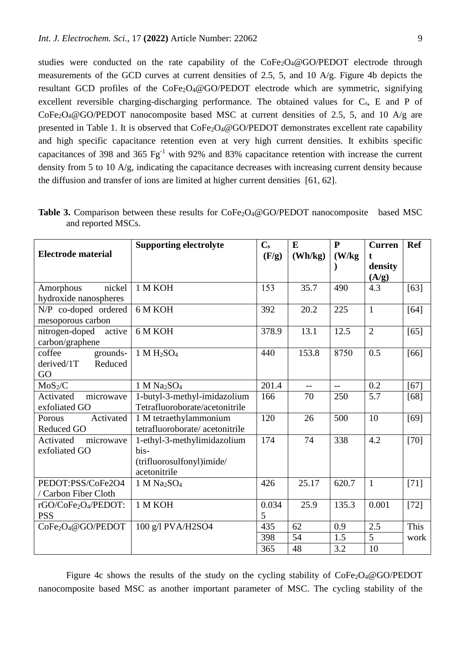studies were conducted on the rate capability of the CoFe<sub>2</sub>O<sub>4</sub>@GO/PEDOT electrode through measurements of the GCD curves at current densities of 2.5, 5, and 10 A/g. Figure 4b depicts the resultant GCD profiles of the CoFe<sub>2</sub>O<sub>4</sub>@GO/PEDOT electrode which are symmetric, signifying excellent reversible charging-discharging performance. The obtained values for  $C_s$ , E and P of  $CoFe<sub>2</sub>O<sub>4</sub>@GO/PEDOT nanocomposite based MSC at current densities of 2.5, 5, and 10 A/g are$ presented in Table 1. It is observed that CoFe<sub>2</sub>O<sub>4</sub>@GO/PEDOT demonstrates excellent rate capability and high specific capacitance retention even at very high current densities. It exhibits specific capacitances of 398 and 365  $Fg^{-1}$  with 92% and 83% capacitance retention with increase the current density from 5 to 10 A/g, indicating the capacitance decreases with increasing current density because the diffusion and transfer of ions are limited at higher current densities [61, 62].

| <b>Electrode material</b>                         | <b>Supporting electrolyte</b>                                                    | $C_{s}$<br>(F/g) | E<br>(Wh/kg) | ${\bf P}$<br>(W/kg) | <b>Curren</b><br>t<br>density<br>(A/g) | <b>Ref</b> |
|---------------------------------------------------|----------------------------------------------------------------------------------|------------------|--------------|---------------------|----------------------------------------|------------|
| nickel<br>Amorphous<br>hydroxide nanospheres      | 1 M KOH                                                                          | 153              | 35.7         | 490                 | 4.3                                    | $[63]$     |
| N/P co-doped ordered<br>mesoporous carbon         | 6 M KOH                                                                          | 392              | 20.2         | 225                 | $\mathbf{1}$                           | $[64]$     |
| nitrogen-doped<br>active<br>carbon/graphene       | 6 M KOH                                                                          | 378.9            | 13.1         | 12.5                | $\overline{2}$                         | $[65]$     |
| coffee<br>grounds-<br>Reduced<br>derived/1T<br>GO | $1 M H_2SO_4$                                                                    | 440              | 153.8        | 8750                | 0.5                                    | $[66]$     |
| MoS <sub>2</sub> /C                               | 1 M Na <sub>2</sub> SO <sub>4</sub>                                              | 201.4            | $-$          | $-$                 | 0.2                                    | $[67]$     |
| microwave<br>Activated<br>exfoliated GO           | 1-butyl-3-methyl-imidazolium<br>Tetrafluoroborate/acetonitrile                   | 166              | 70           | 250                 | 5.7                                    | $[68]$     |
| Activated<br>Porous<br><b>Reduced GO</b>          | 1 M tetraethylammonium<br>tetrafluoroborate/acetonitrile                         | 120              | 26           | 500                 | 10                                     | $[69]$     |
| Activated<br>microwave<br>exfoliated GO           | 1-ethyl-3-methylimidazolium<br>bis-<br>(trifluorosulfonyl)imide/<br>acetonitrile | 174              | 74           | 338                 | 4.2                                    | $[70]$     |
| PEDOT:PSS/CoFe2O4<br>/ Carbon Fiber Cloth         | 1 M Na <sub>2</sub> SO <sub>4</sub>                                              | 426              | 25.17        | 620.7               | $\overline{1}$                         | $[71]$     |
| rGO/CoFe2O4/PEDOT:<br><b>PSS</b>                  | 1 M KOH                                                                          | 0.034<br>5       | 25.9         | 135.3               | 0.001                                  | $[72]$     |
| CoFe <sub>2</sub> O <sub>4</sub> @GO/PEDOT        | 100 g/l PVA/H2SO4                                                                | 435              | 62           | 0.9                 | 2.5                                    | This       |
|                                                   |                                                                                  | 398              | 54           | 1.5                 | 5                                      | work       |
|                                                   |                                                                                  | 365              | 48           | 3.2                 | 10                                     |            |

**Table 3.** Comparison between these results for CoFe<sub>2</sub>O<sub>4</sub>@GO/PEDOT nanocomposite based MSC and reported MSCs.

Figure 4c shows the results of the study on the cycling stability of  $\text{CoFe}_2\text{O}_4@GO/PEDOT$ nanocomposite based MSC as another important parameter of MSC. The cycling stability of the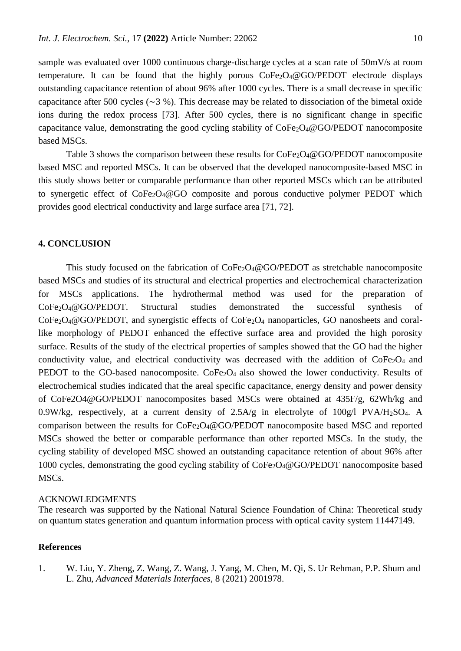sample was evaluated over 1000 continuous charge-discharge cycles at a scan rate of 50mV/s at room temperature. It can be found that the highly porous  $\text{CoFe}_2\text{O}_4@ \text{GO/PEDOT}$  electrode displays outstanding capacitance retention of about 96% after 1000 cycles. There is a small decrease in specific capacitance after 500 cycles ( $\sim$ 3 %). This decrease may be related to dissociation of the bimetal oxide ions during the redox process [73]. After 500 cycles, there is no significant change in specific capacitance value, demonstrating the good cycling stability of  $\text{CoFe}_2\text{O}_4@$  GO/PEDOT nanocomposite based MSCs.

Table 3 shows the comparison between these results for CoFe<sub>2</sub>O<sub>4</sub>@GO/PEDOT nanocomposite based MSC and reported MSCs. It can be observed that the developed nanocomposite-based MSC in this study shows better or comparable performance than other reported MSCs which can be attributed to synergetic effect of  $\text{CoFe}_2\text{O}_4@GO$  composite and porous conductive polymer PEDOT which provides good electrical conductivity and large surface area [71, 72].

## **4. CONCLUSION**

This study focused on the fabrication of CoFe<sub>2</sub>O<sub>4</sub>@GO/PEDOT as stretchable nanocomposite based MSCs and studies of its structural and electrical properties and electrochemical characterization for MSCs applications. The hydrothermal method was used for the preparation of CoFe2O4@GO/PEDOT. Structural studies demonstrated the successful synthesis of CoFe2O4@GO/PEDOT, and synergistic effects of CoFe2O<sup>4</sup> nanoparticles, GO nanosheets and corallike morphology of PEDOT enhanced the effective surface area and provided the high porosity surface. Results of the study of the electrical properties of samples showed that the GO had the higher conductivity value, and electrical conductivity was decreased with the addition of  $CoFe<sub>2</sub>O<sub>4</sub>$  and PEDOT to the GO-based nanocomposite. CoFe<sub>2</sub>O<sub>4</sub> also showed the lower conductivity. Results of electrochemical studies indicated that the areal specific capacitance, energy density and power density of CoFe2O4@GO/PEDOT nanocomposites based MSCs were obtained at 435F/g, 62Wh/kg and 0.9W/kg, respectively, at a current density of 2.5A/g in electrolyte of 100g/l PVA/H2SO4. A comparison between the results for CoFe2O4@GO/PEDOT nanocomposite based MSC and reported MSCs showed the better or comparable performance than other reported MSCs. In the study, the cycling stability of developed MSC showed an outstanding capacitance retention of about 96% after 1000 cycles, demonstrating the good cycling stability of CoFe2O4@GO/PEDOT nanocomposite based MSCs.

#### ACKNOWLEDGMENTS

The research was supported by the National Natural Science Foundation of China: Theoretical study on quantum states generation and quantum information process with optical cavity system 11447149.

## **References**

1. W. Liu, Y. Zheng, Z. Wang, Z. Wang, J. Yang, M. Chen, M. Qi, S. Ur Rehman, P.P. Shum and L. Zhu, *Advanced Materials Interfaces*, 8 (2021) 2001978.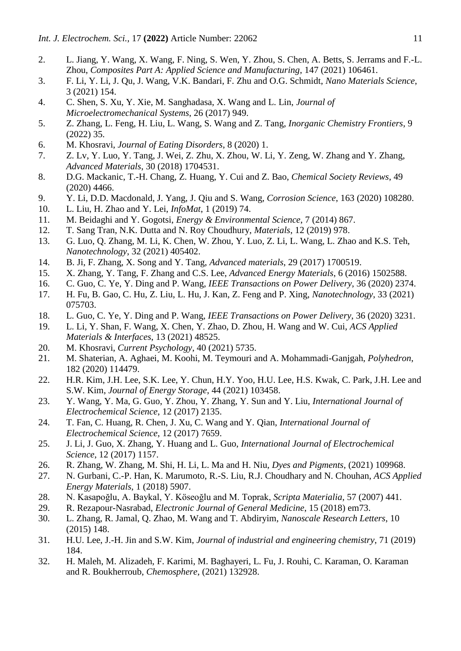- 2. L. Jiang, Y. Wang, X. Wang, F. Ning, S. Wen, Y. Zhou, S. Chen, A. Betts, S. Jerrams and F.-L. Zhou, *Composites Part A: Applied Science and Manufacturing*, 147 (2021) 106461.
- 3. F. Li, Y. Li, J. Qu, J. Wang, V.K. Bandari, F. Zhu and O.G. Schmidt, *Nano Materials Science*, 3 (2021) 154.
- 4. C. Shen, S. Xu, Y. Xie, M. Sanghadasa, X. Wang and L. Lin, *Journal of Microelectromechanical Systems*, 26 (2017) 949.
- 5. Z. Zhang, L. Feng, H. Liu, L. Wang, S. Wang and Z. Tang, *Inorganic Chemistry Frontiers*, 9 (2022) 35.
- 6. M. Khosravi, *Journal of Eating Disorders*, 8 (2020) 1.
- 7. Z. Lv, Y. Luo, Y. Tang, J. Wei, Z. Zhu, X. Zhou, W. Li, Y. Zeng, W. Zhang and Y. Zhang, *Advanced Materials*, 30 (2018) 1704531.
- 8. D.G. Mackanic, T.-H. Chang, Z. Huang, Y. Cui and Z. Bao, *Chemical Society Reviews*, 49 (2020) 4466.
- 9. Y. Li, D.D. Macdonald, J. Yang, J. Qiu and S. Wang, *Corrosion Science*, 163 (2020) 108280.
- 10. L. Liu, H. Zhao and Y. Lei, *InfoMat*, 1 (2019) 74.
- 11. M. Beidaghi and Y. Gogotsi, *Energy & Environmental Science*, 7 (2014) 867.
- 12. T. Sang Tran, N.K. Dutta and N. Roy Choudhury, *Materials*, 12 (2019) 978.
- 13. G. Luo, Q. Zhang, M. Li, K. Chen, W. Zhou, Y. Luo, Z. Li, L. Wang, L. Zhao and K.S. Teh, *Nanotechnology*, 32 (2021) 405402.
- 14. B. Ji, F. Zhang, X. Song and Y. Tang, *Advanced materials*, 29 (2017) 1700519.
- 15. X. Zhang, Y. Tang, F. Zhang and C.S. Lee, *Advanced Energy Materials*, 6 (2016) 1502588.
- 16. C. Guo, C. Ye, Y. Ding and P. Wang, *IEEE Transactions on Power Delivery*, 36 (2020) 2374.
- 17. H. Fu, B. Gao, C. Hu, Z. Liu, L. Hu, J. Kan, Z. Feng and P. Xing, *Nanotechnology*, 33 (2021) 075703.
- 18. L. Guo, C. Ye, Y. Ding and P. Wang, *IEEE Transactions on Power Delivery*, 36 (2020) 3231.
- 19. L. Li, Y. Shan, F. Wang, X. Chen, Y. Zhao, D. Zhou, H. Wang and W. Cui, *ACS Applied Materials & Interfaces*, 13 (2021) 48525.
- 20. M. Khosravi, *Current Psychology*, 40 (2021) 5735.
- 21. M. Shaterian, A. Aghaei, M. Koohi, M. Teymouri and A. Mohammadi-Ganjgah, *Polyhedron*, 182 (2020) 114479.
- 22. H.R. Kim, J.H. Lee, S.K. Lee, Y. Chun, H.Y. Yoo, H.U. Lee, H.S. Kwak, C. Park, J.H. Lee and S.W. Kim, *Journal of Energy Storage*, 44 (2021) 103458.
- 23. Y. Wang, Y. Ma, G. Guo, Y. Zhou, Y. Zhang, Y. Sun and Y. Liu, *International Journal of Electrochemical Science*, 12 (2017) 2135.
- 24. T. Fan, C. Huang, R. Chen, J. Xu, C. Wang and Y. Qian, *International Journal of Electrochemical Science*, 12 (2017) 7659.
- 25. J. Li, J. Guo, X. Zhang, Y. Huang and L. Guo, *International Journal of Electrochemical Science*, 12 (2017) 1157.
- 26. R. Zhang, W. Zhang, M. Shi, H. Li, L. Ma and H. Niu, *Dyes and Pigments*, (2021) 109968.
- 27. N. Gurbani, C.-P. Han, K. Marumoto, R.-S. Liu, R.J. Choudhary and N. Chouhan, *ACS Applied Energy Materials*, 1 (2018) 5907.
- 28. N. Kasapoğlu, A. Baykal, Y. Köseoğlu and M. Toprak, *Scripta Materialia*, 57 (2007) 441.
- 29. R. Rezapour-Nasrabad, *Electronic Journal of General Medicine*, 15 (2018) em73.
- 30. L. Zhang, R. Jamal, Q. Zhao, M. Wang and T. Abdiryim, *Nanoscale Research Letters*, 10 (2015) 148.
- 31. H.U. Lee, J.-H. Jin and S.W. Kim, *Journal of industrial and engineering chemistry*, 71 (2019) 184.
- 32. H. Maleh, M. Alizadeh, F. Karimi, M. Baghayeri, L. Fu, J. Rouhi, C. Karaman, O. Karaman and R. Boukherroub, *Chemosphere*, (2021) 132928.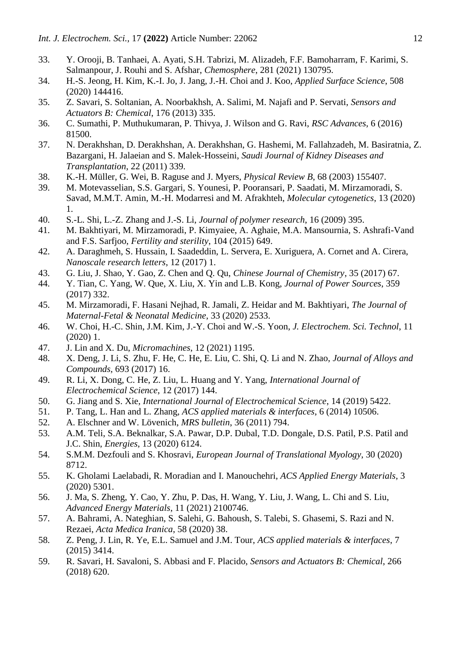- 33. Y. Orooji, B. Tanhaei, A. Ayati, S.H. Tabrizi, M. Alizadeh, F.F. Bamoharram, F. Karimi, S. Salmanpour, J. Rouhi and S. Afshar, *Chemosphere*, 281 (2021) 130795.
- 34. H.-S. Jeong, H. Kim, K.-I. Jo, J. Jang, J.-H. Choi and J. Koo, *Applied Surface Science*, 508 (2020) 144416.
- 35. Z. Savari, S. Soltanian, A. Noorbakhsh, A. Salimi, M. Najafi and P. Servati, *Sensors and Actuators B: Chemical*, 176 (2013) 335.
- 36. C. Sumathi, P. Muthukumaran, P. Thivya, J. Wilson and G. Ravi, *RSC Advances*, 6 (2016) 81500.
- 37. N. Derakhshan, D. Derakhshan, A. Derakhshan, G. Hashemi, M. Fallahzadeh, M. Basiratnia, Z. Bazargani, H. Jalaeian and S. Malek-Hosseini, *Saudi Journal of Kidney Diseases and Transplantation*, 22 (2011) 339.
- 38. K.-H. Müller, G. Wei, B. Raguse and J. Myers, *Physical Review B*, 68 (2003) 155407.
- 39. M. Motevasselian, S.S. Gargari, S. Younesi, P. Pooransari, P. Saadati, M. Mirzamoradi, S. Savad, M.M.T. Amin, M.-H. Modarresi and M. Afrakhteh, *Molecular cytogenetics*, 13 (2020) 1.
- 40. S.-L. Shi, L.-Z. Zhang and J.-S. Li, *Journal of polymer research*, 16 (2009) 395.
- 41. M. Bakhtiyari, M. Mirzamoradi, P. Kimyaiee, A. Aghaie, M.A. Mansournia, S. Ashrafi-Vand and F.S. Sarfjoo, *Fertility and sterility*, 104 (2015) 649.
- 42. A. Daraghmeh, S. Hussain, I. Saadeddin, L. Servera, E. Xuriguera, A. Cornet and A. Cirera, *Nanoscale research letters*, 12 (2017) 1.
- 43. G. Liu, J. Shao, Y. Gao, Z. Chen and Q. Qu, *Chinese Journal of Chemistry*, 35 (2017) 67.
- 44. Y. Tian, C. Yang, W. Que, X. Liu, X. Yin and L.B. Kong, *Journal of Power Sources*, 359 (2017) 332.
- 45. M. Mirzamoradi, F. Hasani Nejhad, R. Jamali, Z. Heidar and M. Bakhtiyari, *The Journal of Maternal-Fetal & Neonatal Medicine*, 33 (2020) 2533.
- 46. W. Choi, H.-C. Shin, J.M. Kim, J.-Y. Choi and W.-S. Yoon, *J. Electrochem. Sci. Technol*, 11 (2020) 1.
- 47. J. Lin and X. Du, *Micromachines*, 12 (2021) 1195.
- 48. X. Deng, J. Li, S. Zhu, F. He, C. He, E. Liu, C. Shi, Q. Li and N. Zhao, *Journal of Alloys and Compounds*, 693 (2017) 16.
- 49. R. Li, X. Dong, C. He, Z. Liu, L. Huang and Y. Yang, *International Journal of Electrochemical Science*, 12 (2017) 144.
- 50. G. Jiang and S. Xie, *International Journal of Electrochemical Science*, 14 (2019) 5422.
- 51. P. Tang, L. Han and L. Zhang, *ACS applied materials & interfaces*, 6 (2014) 10506.
- 52. A. Elschner and W. Lövenich, *MRS bulletin*, 36 (2011) 794.
- 53. A.M. Teli, S.A. Beknalkar, S.A. Pawar, D.P. Dubal, T.D. Dongale, D.S. Patil, P.S. Patil and J.C. Shin, *Energies*, 13 (2020) 6124.
- 54. S.M.M. Dezfouli and S. Khosravi, *European Journal of Translational Myology*, 30 (2020) 8712.
- 55. K. Gholami Laelabadi, R. Moradian and I. Manouchehri, *ACS Applied Energy Materials*, 3 (2020) 5301.
- 56. J. Ma, S. Zheng, Y. Cao, Y. Zhu, P. Das, H. Wang, Y. Liu, J. Wang, L. Chi and S. Liu, *Advanced Energy Materials*, 11 (2021) 2100746.
- 57. A. Bahrami, A. Nateghian, S. Salehi, G. Bahoush, S. Talebi, S. Ghasemi, S. Razi and N. Rezaei, *Acta Medica Iranica*, 58 (2020) 38.
- 58. Z. Peng, J. Lin, R. Ye, E.L. Samuel and J.M. Tour, *ACS applied materials & interfaces*, 7 (2015) 3414.
- 59. R. Savari, H. Savaloni, S. Abbasi and F. Placido, *Sensors and Actuators B: Chemical*, 266 (2018) 620.